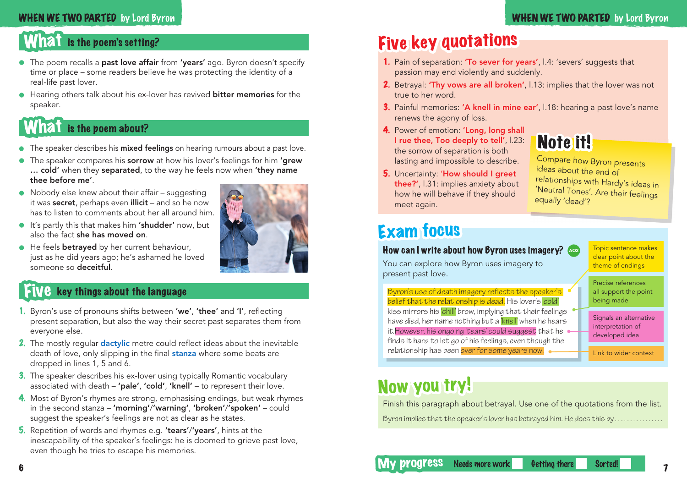#### WHEN WE TWO PARTED by Lord Byron

#### WHEN WE TWO PARTED by Lord Byron

### What is the poem's setting?

- The poem recalls a past love affair from 'vears' ago. Byron doesn't specify time or place – some readers believe he was protecting the identity of a real-life past lover.
- Hearing others talk about his ex-lover has revived **bitter memories** for the speaker.

### What is the poem about?

- **The speaker describes his mixed feelings** on hearing rumours about a past love.
- The speaker compares his sorrow at how his lover's feelings for him 'grew ... cold' when they separated, to the way he feels now when 'they name thee before me'.
- Nobody else knew about their affair suggesting it was secret, perhaps even illicit - and so he now has to listen to comments about her all around him.
- It's partly this that makes him 'shudder' now, but also the fact she has moved on.
- He feels **betrayed** by her current behaviour, just as he did years ago; he's ashamed he loved someone so deceitful.



- 1. Byron's use of pronouns shifts between 'we', 'thee' and 'I', reflecting present separation, but also the way their secret past separates them from everyone else.
- **2.** The mostly regular **dactylic** metre could reflect ideas about the inevitable death of love, only slipping in the final **stanza** where some beats are dropped in lines 1, 5 and 6.
- 3. The speaker describes his ex-lover using typically Romantic vocabulary associated with death – 'pale', 'cold', 'knell' – to represent their love.
- 4. Most of Byron's rhymes are strong, emphasising endings, but weak rhymes in the second stanza – 'morning'/'warning', 'broken'/'spoken' – could suggest the speaker's feelings are not as clear as he states.
- 5. Repetition of words and rhymes e.g. 'tears'/'years', hints at the inescapability of the speaker's feelings: he is doomed to grieve past love, even though he tries to escape his memories.

# Five key quotations

- 1. Pain of separation: 'To sever for years', l.4: 'severs' suggests that passion may end violently and suddenly.
- 2. Betrayal: 'Thy vows are all broken', l.13: implies that the lover was not true to her word.
- 3. Painful memories: 'A knell in mine ear', l.18: hearing a past love's name renews the agony of loss.
- 4. Power of emotion: 'Long, long shall I rue thee, Too deeply to tell', l.23: the sorrow of separation is both lasting and impossible to describe.

# Note it!

5. Uncertainty: 'How should I greet thee?', l.31: implies anxiety about how he will behave if they should meet again.

Compare how Byron presents ideas about the end of relationships with Hardy's ideas in 'Neutral Tones'. Are their feelings equally 'dead'?

### Exam focus

#### How can I write about how Byron uses imagery?  $\sim$

You can explore how Byron uses imagery to present past love.

clear point about the theme of endings Precise references

Topic sentence makes

Byron's use of death imagery reflects the speaker's belief that the relationship is dead. His lover's 'cold' kiss mirrors his 'chill' brow, implying that their feelings have died, her name nothing but a 'knell' when he hears it.However, his ongoing 'tears' could suggest that he finds it hard to let go of his feelings, even though the relationship has been over for some years now.

all support the point being made

Signals an alternative interpretation of developed idea

Link to wider context

### Now you try!

Finish this paragraph about betrayal. Use one of the quotations from the list. Byron implies that the speaker's lover has betrayed him. He does this by . . . . . . . . . . . . . . . . .